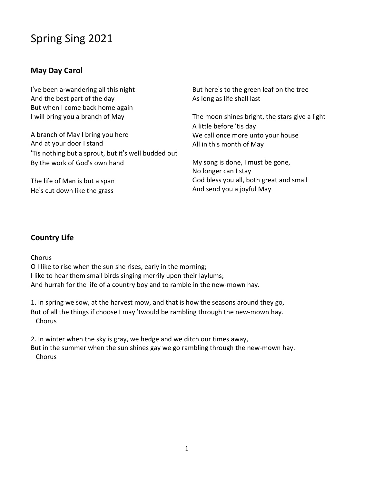# Spring Sing 2021

# **May Day Carol**

I've been a-wandering all this night And the best part of the day But when I come back home again I will bring you a branch of May

A branch of May I bring you here And at your door I stand 'Tis nothing but a sprout, but it's well budded out By the work of God's own hand

The life of Man is but a span He's cut down like the grass

But here's to the green leaf on the tree As long as life shall last

The moon shines bright, the stars give a light A little before 'tis day We call once more unto your house All in this month of May

My song is done, I must be gone, No longer can I stay God bless you all, both great and small And send you a joyful May

# **Country Life**

Chorus

O I like to rise when the sun she rises, early in the morning; I like to hear them small birds singing merrily upon their laylums; And hurrah for the life of a country boy and to ramble in the new-mown hay.

1. In spring we sow, at the harvest mow, and that is how the seasons around they go, But of all the things if choose I may 'twould be rambling through the new-mown hay. **Chorus** 

2. In winter when the sky is gray, we hedge and we ditch our times away, But in the summer when the sun shines gay we go rambling through the new-mown hay. Chorus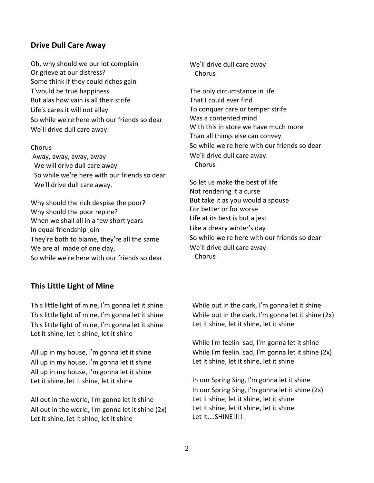#### **Drive Dull Care Away**

Oh, why should we our lot complain Or grieve at our distress? Some think if they could riches gain T'would be true happiness But alas how vain is all their strife Life's cares it will not allay So while we're here with our friends so dear We'll drive dull care away:

#### Chorus

Away, away, away, away We will drive dull care away So while we're here with our friends so dear We'll drive dull care away.

Why should the rich despise the poor? Why should the poor repine? When we shall all in a few short years In equal friendship join They're both to blame, they're all the same We are all made of one clay, So while we're here with our friends so dear We'll drive dull care away: **Chorus** 

The only circumstance in life That I could ever find To conquer care or temper strife Was a contented mind With this in store we have much more Than all things else can convey So while we're here with our friends so dear We'll drive dull care away: **Chorus** 

So let us make the best of life Not rendering it a curse But take it as you would a spouse For better or for worse Life at its best is but a jest Like a dreary winter's day So while we're here with our friends so dear We'll drive dull care away: **Chorus** 

### **This Little Light of Mine**

This little light of mine, I'm gonna let it shine This little light of mine, I'm gonna let it shine This little light of mine, I'm gonna let it shine Let it shine, let it shine, let it shine

All up in my house, I'm gonna let it shine All up in my house, I'm gonna let it shine All up in my house, I'm gonna let it shine Let it shine, let it shine, let it shine

All out in the world, I'm gonna let it shine All out in the world, I'm gonna let it shine (2x) Let it shine, let it shine, let it shine

While out in the dark, I'm gonna let it shine While out in the dark, I'm gonna let it shine (2x) Let it shine, let it shine, let it shine

While I'm feelin 'sad, I'm gonna let it shine While I'm feelin 'sad, I'm gonna let it shine (2x) Let it shine, let it shine, let it shine

In our Spring Sing, I'm gonna let it shine In our Spring Sing, I'm gonna let it shine (2x) Let it shine, let it shine, let it shine Let it shine, let it shine, let it shine Let it....SHINE!!!!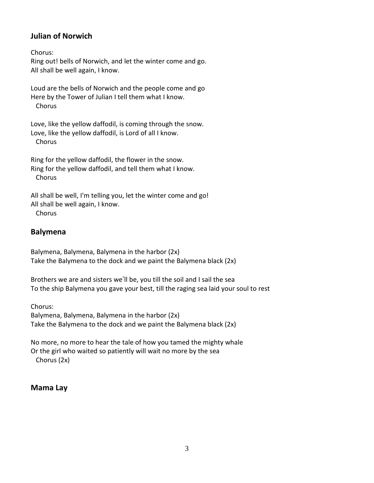# **Julian of Norwich**

Chorus:

Ring out! bells of Norwich, and let the winter come and go. All shall be well again, I know.

Loud are the bells of Norwich and the people come and go Here by the Tower of Julian I tell them what I know. **Chorus** 

Love, like the yellow daffodil, is coming through the snow. Love, like the yellow daffodil, is Lord of all I know. Chorus

Ring for the yellow daffodil, the flower in the snow. Ring for the yellow daffodil, and tell them what I know. Chorus

All shall be well, I'm telling you, let the winter come and go! All shall be well again, I know. Chorus

### **Balymena**

Balymena, Balymena, Balymena in the harbor (2x) Take the Balymena to the dock and we paint the Balymena black (2x)

Brothers we are and sisters we'll be, you till the soil and I sail the sea To the ship Balymena you gave your best, till the raging sea laid your soul to rest

Chorus: Balymena, Balymena, Balymena in the harbor (2x) Take the Balymena to the dock and we paint the Balymena black (2x)

No more, no more to hear the tale of how you tamed the mighty whale Or the girl who waited so patiently will wait no more by the sea Chorus (2x)

# **Mama Lay**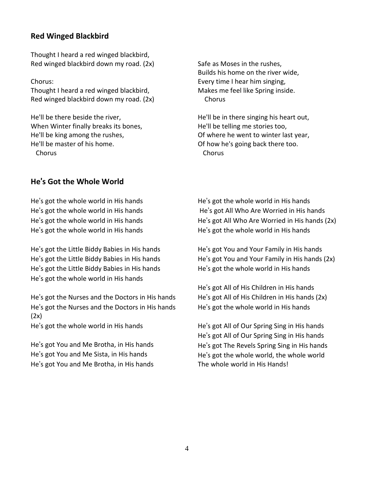# **Red Winged Blackbird**

Thought I heard a red winged blackbird, Red winged blackbird down my road. (2x)

Chorus:

Thought I heard a red winged blackbird, Red winged blackbird down my road. (2x)

He'll be there beside the river, When Winter finally breaks its bones, He'll be king among the rushes, He'll be master of his home. Chorus

**He**'**s Got the Whole World**

He's got the whole world in His hands He's got the whole world in His hands He's got the whole world in His hands He's got the whole world in His hands

He's got the Little Biddy Babies in His hands He's got the Little Biddy Babies in His hands He's got the Little Biddy Babies in His hands He's got the whole world in His hands

He's got the Nurses and the Doctors in His hands He's got the Nurses and the Doctors in His hands  $(2x)$ 

He's got the whole world in His hands

He's got You and Me Brotha, in His hands He's got You and Me Sista, in His hands He's got You and Me Brotha, in His hands

Safe as Moses in the rushes, Builds his home on the river wide, Every time I hear him singing, Makes me feel like Spring inside. Chorus

He'll be in there singing his heart out, He'll be telling me stories too, Of where he went to winter last year, Of how he's going back there too. Chorus

He's got the whole world in His hands He's got All Who Are Worried in His hands He's got All Who Are Worried in His hands (2x) He's got the whole world in His hands

He's got You and Your Family in His hands He's got You and Your Family in His hands (2x) He's got the whole world in His hands

He's got All of His Children in His hands He's got All of His Children in His hands (2x) He's got the whole world in His hands

He's got All of Our Spring Sing in His hands He's got All of Our Spring Sing in His hands He's got The Revels Spring Sing in His hands He's got the whole world, the whole world The whole world in His Hands!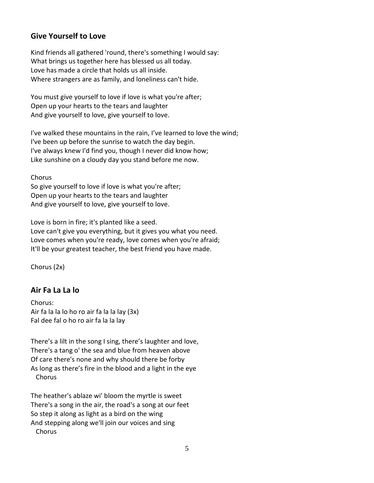# **Give Yourself to Love**

Kind friends all gathered 'round, there's something I would say: What brings us together here has blessed us all today. Love has made a circle that holds us all inside. Where strangers are as family, and loneliness can't hide.

You must give yourself to love if love is what you're after; Open up your hearts to the tears and laughter And give yourself to love, give yourself to love.

I've walked these mountains in the rain, I've learned to love the wind; I've been up before the sunrise to watch the day begin. I've always knew I'd find you, though I never did know how; Like sunshine on a cloudy day you stand before me now.

#### Chorus

So give yourself to love if love is what you're after; Open up your hearts to the tears and laughter And give yourself to love, give yourself to love.

Love is born in fire; it's planted like a seed.

Love can't give you everything, but it gives you what you need. Love comes when you're ready, love comes when you're afraid; It'll be your greatest teacher, the best friend you have made.

Chorus (2x)

# **Air Fa La La lo**

Chorus: Air fa la la lo ho ro air fa la la lay (3x) Fal dee fal o ho ro air fa la la lay

There's a lilt in the song I sing, there's laughter and love, There's a tang o' the sea and blue from heaven above Of care there's none and why should there be forby As long as there's fire in the blood and a light in the eye Chorus

The heather's ablaze wi' bloom the myrtle is sweet There's a song in the air, the road's a song at our feet So step it along as light as a bird on the wing And stepping along we'll join our voices and sing Chorus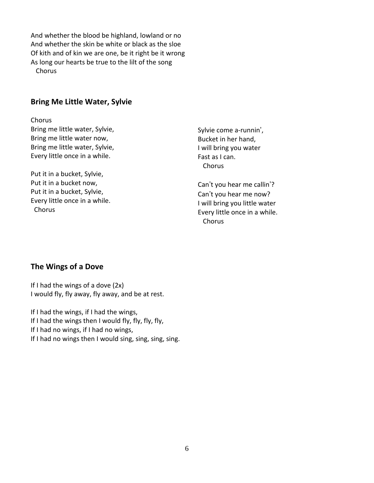And whether the blood be highland, lowland or no And whether the skin be white or black as the sloe Of kith and of kin we are one, be it right be it wrong As long our hearts be true to the lilt of the song Chorus

# **Bring Me Little Water, Sylvie**

Chorus Bring me little water, Sylvie, Bring me little water now, Bring me little water, Sylvie, Every little once in a while.

Put it in a bucket, Sylvie, Put it in a bucket now, Put it in a bucket, Sylvie, Every little once in a while. Chorus

Sylvie come a-runnin', Bucket in her hand, I will bring you water Fast as I can. Chorus

Can't you hear me callin'? Can't you hear me now? I will bring you little water Every little once in a while. Chorus

# **The Wings of a Dove**

If I had the wings of a dove (2x) I would fly, fly away, fly away, and be at rest.

If I had the wings, if I had the wings, If I had the wings then I would fly, fly, fly, fly, If I had no wings, if I had no wings, If I had no wings then I would sing, sing, sing, sing.